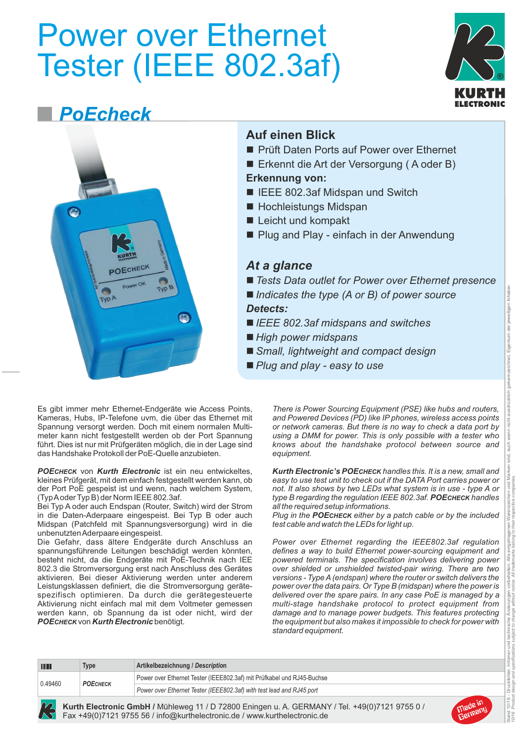# Power over Ethernet Tester (IEEE 802.3af) **®**



## *PoEcheck*



Es gibt immer mehr Ethernet-Endgeräte wie Access Points, Kameras, Hubs, IP-Telefone uvm, die über das Ethernet mit Spannung versorgt werden. Doch mit einem normalen Multimeter kann nicht festgestellt werden ob der Port Spannung führt. Dies ist nur mit Prüfgeräten möglich, die in der Lage sind das Handshake Protokoll der PoE-Quelle anzubieten.

**РОЕСНЕСК** von **Kurth Electronic** ist ein neu entwickeltes, kleines Prüfgerät, mit dem einfach festgestellt werden kann, ob der Port PoE gespeist ist und wenn, nach welchem System, (Typ Aoder Typ B) der Norm IEEE 802.3af.

Bei Typ A oder auch Endspan (Router, Switch) wird der Strom in die Daten-Aderpaare eingespeist. Bei Typ B oder auch Midspan (Patchfeld mit Spannungsversorgung) wird in die unbenutzten Aderpaare eingespeist.

Die Gefahr, dass ältere Endgeräte durch Anschluss an spannungsführende Leitungen beschädigt werden könnten, besteht nicht, da die Endgeräte mit PoE-Technik nach IEE 802.3 die Stromversorgung erst nach Anschluss des Gerätes aktivieren. Bei dieser Aktivierung werden unter anderem Leistungsklassen definiert, die die Stromversorgung gerätespezifisch optimieren. Da durch die gerätegesteuerte Aktivierung nicht einfach mal mit dem Voltmeter gemessen werden kann, ob Spannung da ist oder nicht, wird der *POECHECK* von *Kurth Electronic* benötigt.

**Auf einen Blick**

- **n Prüft Daten Ports auf Power over Ethernet**
- Erkennt die Art der Versorgung (A oder B)

#### **Erkennung von:**

- IEEE 802.3af Midspan und Switch
- $\blacksquare$  Hochleistungs Midspan
- $\blacksquare$  Leicht und kompakt
- Plug and Play einfach in der Anwendung

#### *At a glance*

- *Tests Data outlet for Power over Ethernet presence*
- *Indicates the type (A or B) of power source Detects:*
- *IEEE 802.3af midspans and switches*
- *High power midspans*
- *Small, lightweight and compact design*
- *Plug and play easy to use*

*There is Power Sourcing Equipment (PSE) like hubs and routers, and Powered Devices (PD) like IP phones, wireless access points or network cameras. But there is no way to check a data port by using a DMM for power. This is only possible with a tester who knows about the handshake protocol between source and equipment.*

*Kurth Electronic's POECHECK handles this. It is a new, small and easy to use test unit to check out if the DATA Port carries power or not. It also shows by two LEDs what system is in use - type A or type B regarding the regulation IEEE 802.3af. POECHECK handles all the required setup informations.*

*Plug in the POECHECK either by a patch cable or by the included test cable and watch the LEDs for light up.* 

*Power over Ethernet regarding the IEEE802.3af regulation defines a way to build Ethernet power-sourcing equipment and powered terminals. The specification involves delivering power over shielded or unshielded twisted-pair wiring. There are two versions - Type A(endspan) where the router or switch delivers the power over the data pairs. Or Type B (midspan) where the power is delivered over the spare pairs. In any case PoE is managed by a multi-stage handshake protocol to protect equipment from damage and to manage power budgets. This features protecting the equipment but also makes it impossible to check for power with standard equipment.* 

| <b>THEFT</b> | <b>Type</b>     | Artikelbezeichnung / Description                                       |
|--------------|-----------------|------------------------------------------------------------------------|
| 0.49460      | <b>РОЕСНЕСК</b> | Power over Ethernet Tester (IEEE802.3af) mit Prüfkabel und RJ45-Buchse |
|              |                 | Power over Ethernet Tester (IEEE802.3af) with test lead and RJ45 port  |

**Kurth Electronic GmbH /** Mühleweg 11 / D 72800 Eningen u. A. GERMANY / Tel. +49(0)7121 9755 0 / Fax +49(0)7121 9755 56 / info@kurthelectronic.de / www.kurthelectronic.de